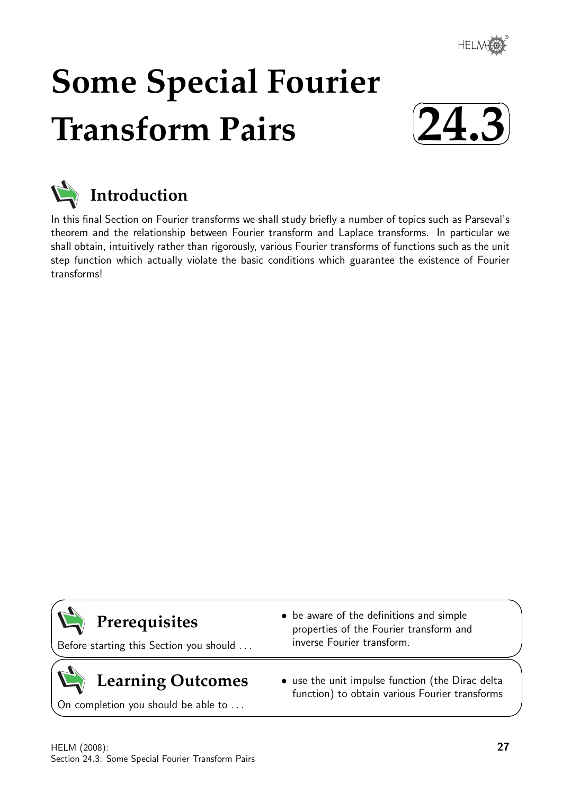

# **Some Special Fourier Transform Pairs**





In this final Section on Fourier transforms we shall study briefly a number of topics such as Parseval's theorem and the relationship between Fourier transform and Laplace transforms. In particular we shall obtain, intuitively rather than rigorously, various Fourier transforms of functions such as the unit step function which actually violate the basic conditions which guarantee the existence of Fourier transforms!



 $\overline{\phantom{0}}$ 

 $\geq$ 

 $\geq$ 

 $\overline{\phantom{0}}$ 

Before starting this Section you should . . .

# **Learning Outcomes**

On completion you should be able to ...

- be aware of the definitions and simple properties of the Fourier transform and inverse Fourier transform.
- use the unit impulse function (the Dirac delta function) to obtain various Fourier transforms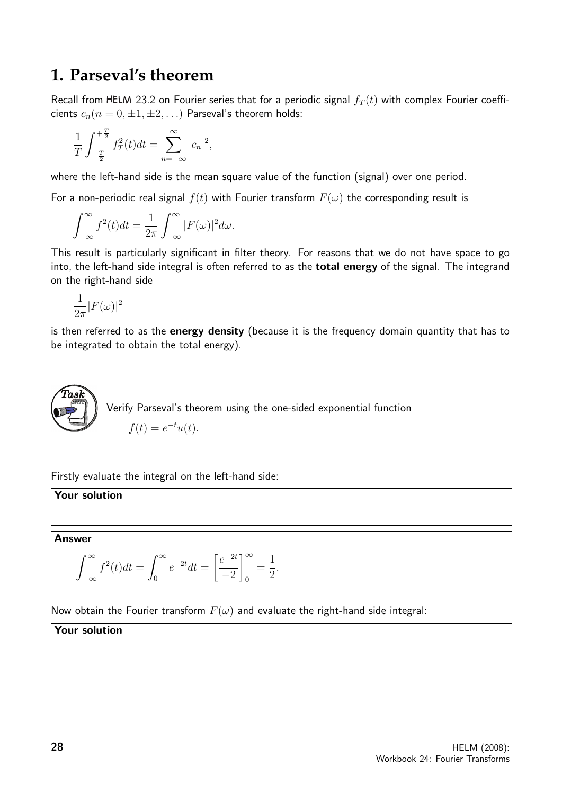## **1. Parseval's theorem**

Recall from HELM 23.2 on Fourier series that for a periodic signal  $f_T(t)$  with complex Fourier coefficients  $c_n(n = 0, \pm 1, \pm 2, ...)$  Parseval's theorem holds:

$$
\frac{1}{T} \int_{-\frac{T}{2}}^{+\frac{T}{2}} f_T^2(t) dt = \sum_{n=-\infty}^{\infty} |c_n|^2,
$$

where the left-hand side is the mean square value of the function (signal) over one period.

For a non-periodic real signal  $f(t)$  with Fourier transform  $F(\omega)$  the corresponding result is

$$
\int_{-\infty}^{\infty} f^2(t)dt = \frac{1}{2\pi} \int_{-\infty}^{\infty} |F(\omega)|^2 d\omega.
$$

This result is particularly significant in filter theory. For reasons that we do not have space to go into, the left-hand side integral is often referred to as the **total energy** of the signal. The integrand on the right-hand side

$$
\frac{1}{2\pi}|F(\omega)|^2
$$

is then referred to as the **energy density** (because it is the frequency domain quantity that has to be integrated to obtain the total energy).



Firstly evaluate the integral on the left-hand side:

Your solution

Answer

$$
\int_{-\infty}^{\infty} f^{2}(t)dt = \int_{0}^{\infty} e^{-2t}dt = \left[\frac{e^{-2t}}{-2}\right]_{0}^{\infty} = \frac{1}{2}.
$$

Now obtain the Fourier transform  $F(\omega)$  and evaluate the right-hand side integral:

Your solution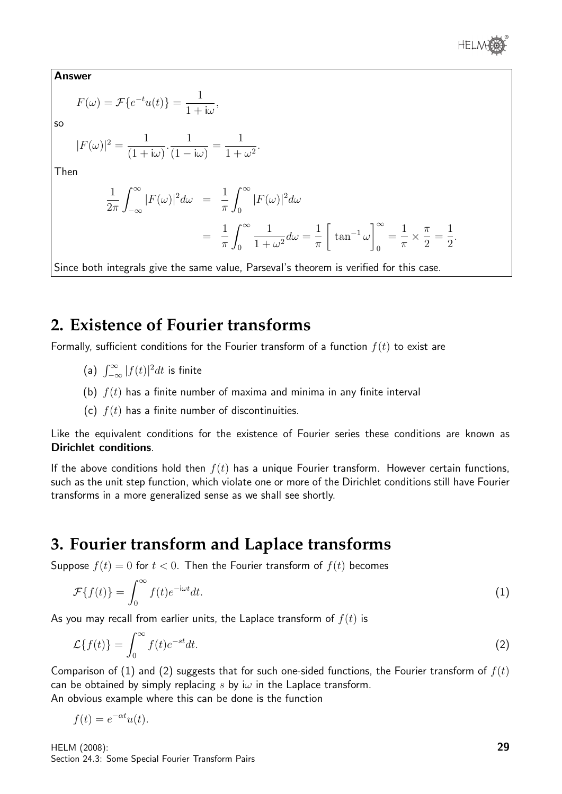

Answer

$$
F(\omega) = \mathcal{F}\{e^{-t}u(t)\} = \frac{1}{1 + i\omega},
$$

so

$$
|F(\omega)|^2 = \frac{1}{(1+i\omega)} \cdot \frac{1}{(1-i\omega)} = \frac{1}{1+\omega^2}.
$$

Then

$$
\frac{1}{2\pi} \int_{-\infty}^{\infty} |F(\omega)|^2 d\omega = \frac{1}{\pi} \int_{0}^{\infty} |F(\omega)|^2 d\omega
$$

$$
= \frac{1}{\pi} \int_{0}^{\infty} \frac{1}{1 + \omega^2} d\omega = \frac{1}{\pi} \left[ \tan^{-1} \omega \right]_{0}^{\infty} = \frac{1}{\pi} \times \frac{\pi}{2} = \frac{1}{2}.
$$

Since both integrals give the same value, Parseval's theorem is verified for this case.

### **2. Existence of Fourier transforms**

Formally, sufficient conditions for the Fourier transform of a function  $f(t)$  to exist are

- (a)  $\int_{-\infty}^{\infty} |f(t)|^2 dt$  is finite
- (b)  $f(t)$  has a finite number of maxima and minima in any finite interval
- (c)  $f(t)$  has a finite number of discontinuities.

Like the equivalent conditions for the existence of Fourier series these conditions are known as Dirichlet conditions.

If the above conditions hold then  $f(t)$  has a unique Fourier transform. However certain functions, such as the unit step function, which violate one or more of the Dirichlet conditions still have Fourier transforms in a more generalized sense as we shall see shortly.

## **3. Fourier transform and Laplace transforms**

Suppose  $f(t) = 0$  for  $t < 0$ . Then the Fourier transform of  $f(t)$  becomes

$$
\mathcal{F}\{f(t)\} = \int_0^\infty f(t)e^{-i\omega t}dt.
$$
\n(1)

As you may recall from earlier units, the Laplace transform of  $f(t)$  is

$$
\mathcal{L}\lbrace f(t)\rbrace = \int_0^\infty f(t)e^{-st}dt.
$$
\n(2)

Comparison of (1) and (2) suggests that for such one-sided functions, the Fourier transform of  $f(t)$ can be obtained by simply replacing s by i $\omega$  in the Laplace transform. An obvious example where this can be done is the function

 $f(t) = e^{-\alpha t}u(t).$ 

HELM (2008): Section 24.3: Some Special Fourier Transform Pairs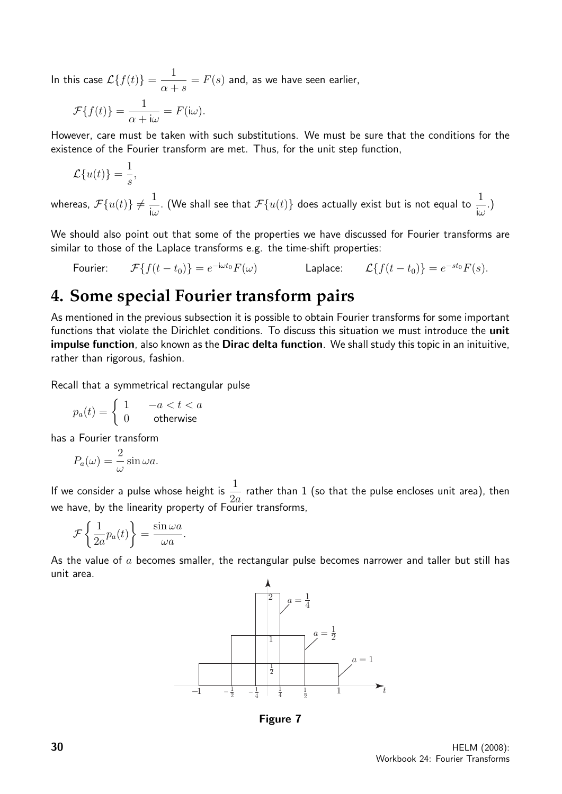In this case  $\mathcal{L}\{f(t)\} = \frac{1}{\sqrt{2\pi}}$  $\alpha + s$  $=F(s)$  and, as we have seen earlier,

$$
\mathcal{F}{f(t)} = \frac{1}{\alpha + i\omega} = F(i\omega).
$$

However, care must be taken with such substitutions. We must be sure that the conditions for the existence of the Fourier transform are met. Thus, for the unit step function,

$$
\mathcal{L}{u(t)} = \frac{1}{s},
$$

whereas,  $\mathcal{F}\{u(t)\} \neq \frac{1}{\cdot \tau}$  $i\omega$ . (We shall see that  $\mathcal{F}\{u(t)\}$  does actually exist but is not equal to  $\frac{1}{\tau}$  $i\omega$ .)

We should also point out that some of the properties we have discussed for Fourier transforms are similar to those of the Laplace transforms e.g. the time-shift properties:

Fourier: 
$$
\mathcal{F}{f(t-t_0)} = e^{-i\omega t_0} F(\omega)
$$
 Laplace:  $\mathcal{L}{f(t-t_0)} = e^{-st_0} F(s)$ .

## **4. Some special Fourier transform pairs**

As mentioned in the previous subsection it is possible to obtain Fourier transforms for some important functions that violate the Dirichlet conditions. To discuss this situation we must introduce the **unit** impulse function, also known as the Dirac delta function. We shall study this topic in an inituitive, rather than rigorous, fashion.

Recall that a symmetrical rectangular pulse

$$
p_a(t) = \begin{cases} 1 & -a < t < a \\ 0 & \text{otherwise} \end{cases}
$$

has a Fourier transform

$$
P_a(\omega) = \frac{2}{\omega} \sin \omega a.
$$

If we consider a pulse whose height is  $\frac{1}{2}$  $2a$ rather than 1 (so that the pulse encloses unit area), then we have, by the linearity property of Fourier transforms,

$$
\mathcal{F}\left\{\frac{1}{2a}p_a(t)\right\} = \frac{\sin \omega a}{\omega a}.
$$

As the value of  $a$  becomes smaller, the rectangular pulse becomes narrower and taller but still has unit area.



Figure 7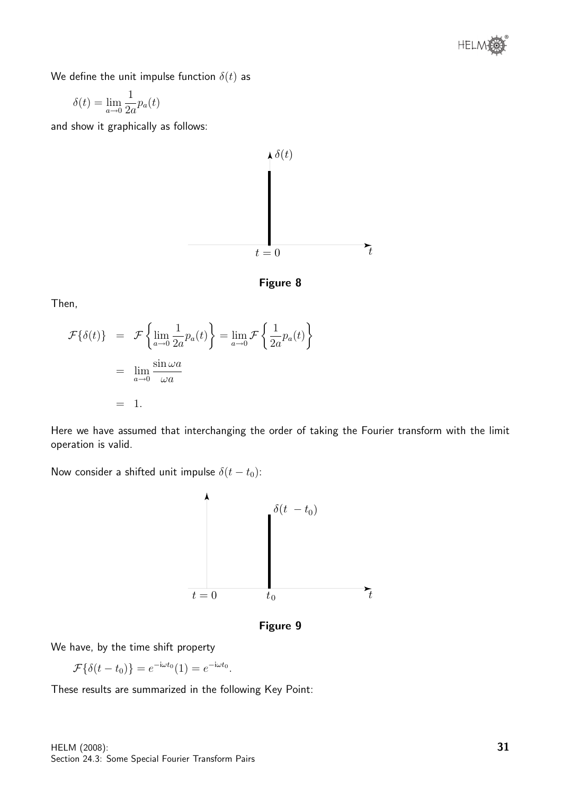

We define the unit impulse function  $\delta(t)$  as

$$
\delta(t) = \lim_{a \to 0} \frac{1}{2a} p_a(t)
$$

and show it graphically as follows:





Then,

$$
\mathcal{F}\{\delta(t)\} = \mathcal{F}\left\{\lim_{a \to 0} \frac{1}{2a} p_a(t)\right\} = \lim_{a \to 0} \mathcal{F}\left\{\frac{1}{2a} p_a(t)\right\}
$$

$$
= \lim_{a \to 0} \frac{\sin \omega a}{\omega a}
$$

$$
= 1.
$$

Here we have assumed that interchanging the order of taking the Fourier transform with the limit operation is valid.

Now consider a shifted unit impulse  $\delta(t-t_0)$ :



Figure 9

We have, by the time shift property

$$
\mathcal{F}\{\delta(t-t_0)\} = e^{-i\omega t_0}(1) = e^{-i\omega t_0}.
$$

These results are summarized in the following Key Point: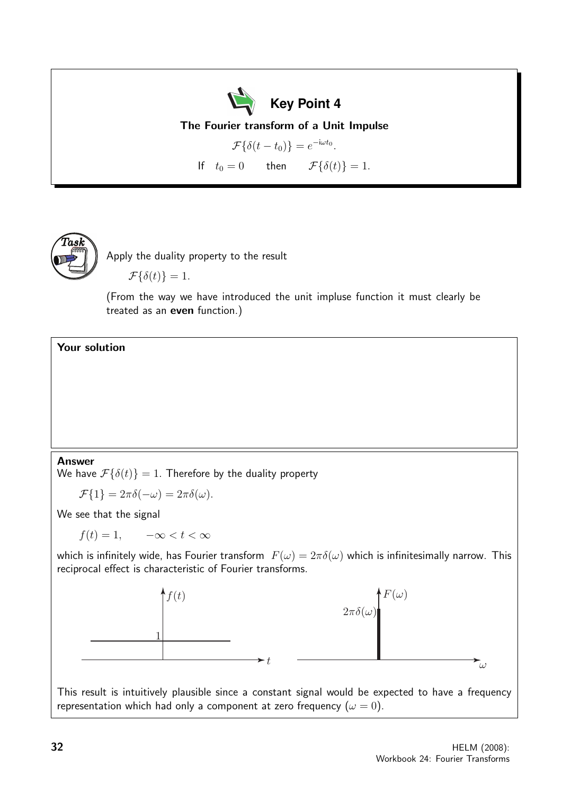

The Fourier transform of a Unit Impulse

$$
\mathcal{F}\{\delta(t - t_0)\} = e^{-i\omega t_0}.
$$
  
If  $t_0 = 0$  then  $\mathcal{F}\{\delta(t)\} = 1.$ 

 $\widehat{T}$ as $\widehat{k}$ 

Apply the duality property to the result

 $\mathcal{F}{\lbrace \delta(t) \rbrace} = 1.$ 

(From the way we have introduced the unit impluse function it must clearly be treated as an even function.)

Your solution

#### Answer

We have  $\mathcal{F}{\lbrace \delta(t) \rbrace} = 1$ . Therefore by the duality property

$$
\mathcal{F}{1} = 2\pi\delta(-\omega) = 2\pi\delta(\omega).
$$

We see that the signal

 $f(t) = 1, \quad -\infty < t < \infty$ 

which is infinitely wide, has Fourier transform  $F(\omega) = 2\pi\delta(\omega)$  which is infinitesimally narrow. This reciprocal effect is characteristic of Fourier transforms.



This result is intuitively plausible since a constant signal would be expected to have a frequency representation which had only a component at zero frequency  $(\omega = 0)$ .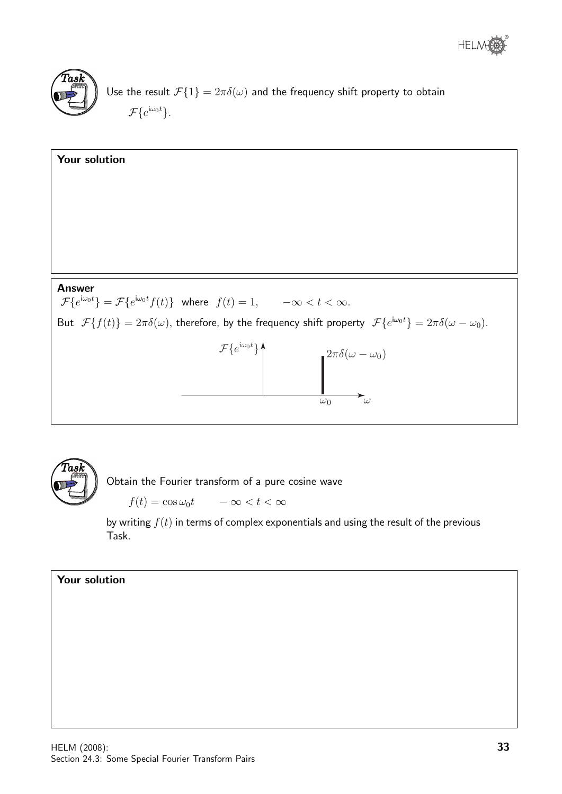



Use the result  $\mathcal{F}{1} = 2\pi \delta(\omega)$  and the frequency shift property to obtain  $\mathcal{F}\{e^{\mathrm{i}\omega_0 t}\}.$ 





Obtain the Fourier transform of a pure cosine wave

 $f(t) = \cos \omega_0 t \qquad -\infty < t < \infty$ 

by writing  $f(t)$  in terms of complex exponentials and using the result of the previous Task.

#### Your solution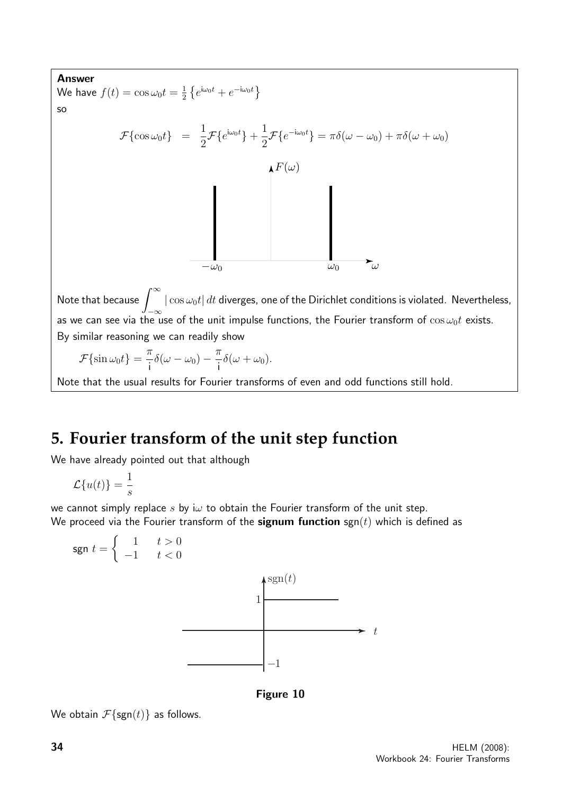

## **5. Fourier transform of the unit step function**

We have already pointed out that although

 $\mathcal{L}{u(t)} = \frac{1}{t}$ s

we cannot simply replace s by i $\omega$  to obtain the Fourier transform of the unit step. We proceed via the Fourier transform of the **signum function** sgn(t) which is defined as



Figure 10

We obtain  $\mathcal{F}\{\text{sgn}(t)\}\$ as follows.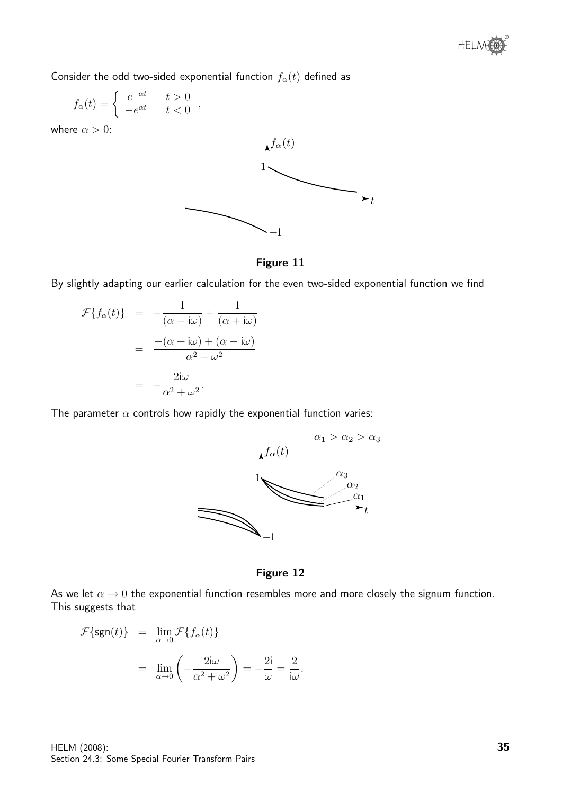Consider the odd two-sided exponential function  $f_{\alpha}(t)$  defined as

$$
f_{\alpha}(t) = \begin{cases} e^{-\alpha t} & t > 0 \\ -e^{\alpha t} & t < 0 \end{cases}
$$

where  $\alpha > 0$ :



Figure 11

By slightly adapting our earlier calculation for the even two-sided exponential function we find

$$
\mathcal{F}{f_{\alpha}(t)} = -\frac{1}{(\alpha - i\omega)} + \frac{1}{(\alpha + i\omega)}
$$

$$
= \frac{-(\alpha + i\omega) + (\alpha - i\omega)}{\alpha^2 + \omega^2}
$$

$$
= -\frac{2i\omega}{\alpha^2 + \omega^2}.
$$

The parameter  $\alpha$  controls how rapidly the exponential function varies:



Figure 12

.

As we let  $\alpha \to 0$  the exponential function resembles more and more closely the signum function. This suggests that

$$
\mathcal{F}\{\text{sgn}(t)\} = \lim_{\alpha \to 0} \mathcal{F}\{f_{\alpha}(t)\}
$$

$$
= \lim_{\alpha \to 0} \left(-\frac{2i\omega}{\alpha^2 + \omega^2}\right) = -\frac{2i}{\omega} = \frac{2}{i\omega}
$$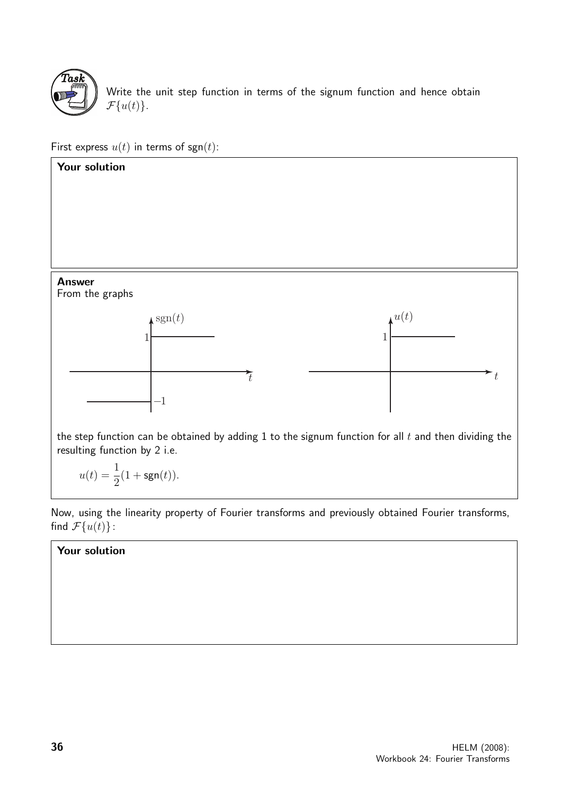

Write the unit step function in terms of the signum function and hence obtain  $\mathcal{F}{u(t)}$ .

First express  $u(t)$  in terms of sgn(t):



Now, using the linearity property of Fourier transforms and previously obtained Fourier transforms, find  $\mathcal{F}{u(t)}$ :

#### Your solution